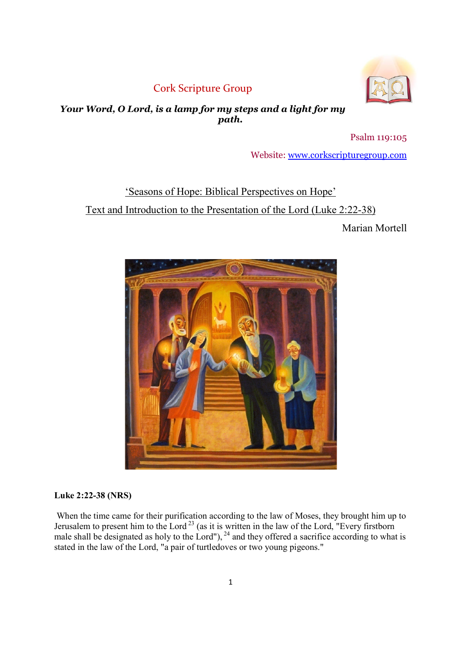# Cork Scripture Group



# Your Word, O Lord, is a lamp for my steps and a light for my path.

Psalm 119:105

Website: www.corkscripturegroup.com

# 'Seasons of Hope: Biblical Perspectives on Hope' Text and Introduction to the Presentation of the Lord (Luke 2:22-38)

Marian Mortell



# Luke 2:22-38 (NRS)

 When the time came for their purification according to the law of Moses, they brought him up to Jerusalem to present him to the Lord<sup>23</sup> (as it is written in the law of the Lord, "Every firstborn male shall be designated as holy to the Lord"),  $^{24}$  and they offered a sacrifice according to what is stated in the law of the Lord, "a pair of turtledoves or two young pigeons."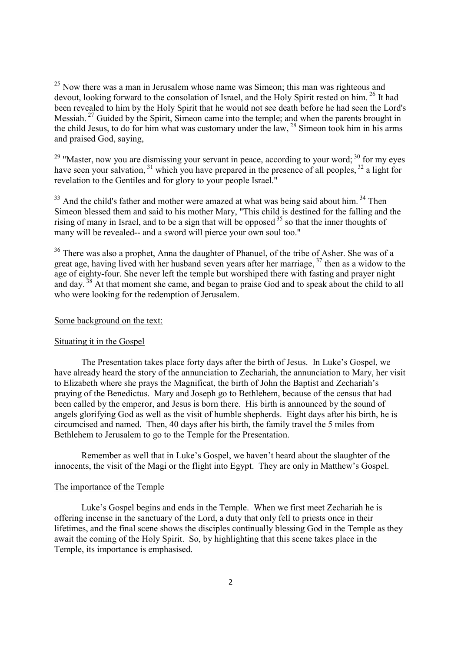$25$  Now there was a man in Jerusalem whose name was Simeon; this man was righteous and devout, looking forward to the consolation of Israel, and the Holy Spirit rested on him.<sup>26</sup> It had been revealed to him by the Holy Spirit that he would not see death before he had seen the Lord's Messiah.<sup>27</sup> Guided by the Spirit, Simeon came into the temple; and when the parents brought in the child Jesus, to do for him what was customary under the law,  $^{28}$  Simeon took him in his arms and praised God, saying,

 $29$  "Master, now you are dismissing your servant in peace, according to your word;  $30$  for my eyes have seen your salvation,  $31$  which you have prepared in the presence of all peoples,  $32$  a light for revelation to the Gentiles and for glory to your people Israel."

 $33$  And the child's father and mother were amazed at what was being said about him.  $34$  Then Simeon blessed them and said to his mother Mary, "This child is destined for the falling and the rising of many in Israel, and to be a sign that will be opposed  $35$  so that the inner thoughts of many will be revealed-- and a sword will pierce your own soul too."

 $36$  There was also a prophet, Anna the daughter of Phanuel, of the tribe of Asher. She was of a great age, having lived with her husband seven years after her marriage,  $37$  then as a widow to the age of eighty-four. She never left the temple but worshiped there with fasting and prayer night and day.<sup>38</sup> At that moment she came, and began to praise God and to speak about the child to all who were looking for the redemption of Jerusalem.

# Some background on the text:

#### Situating it in the Gospel

The Presentation takes place forty days after the birth of Jesus. In Luke's Gospel, we have already heard the story of the annunciation to Zechariah, the annunciation to Mary, her visit to Elizabeth where she prays the Magnificat, the birth of John the Baptist and Zechariah's praying of the Benedictus. Mary and Joseph go to Bethlehem, because of the census that had been called by the emperor, and Jesus is born there. His birth is announced by the sound of angels glorifying God as well as the visit of humble shepherds. Eight days after his birth, he is circumcised and named. Then, 40 days after his birth, the family travel the 5 miles from Bethlehem to Jerusalem to go to the Temple for the Presentation.

Remember as well that in Luke's Gospel, we haven't heard about the slaughter of the innocents, the visit of the Magi or the flight into Egypt. They are only in Matthew's Gospel.

# The importance of the Temple

Luke's Gospel begins and ends in the Temple. When we first meet Zechariah he is offering incense in the sanctuary of the Lord, a duty that only fell to priests once in their lifetimes, and the final scene shows the disciples continually blessing God in the Temple as they await the coming of the Holy Spirit. So, by highlighting that this scene takes place in the Temple, its importance is emphasised.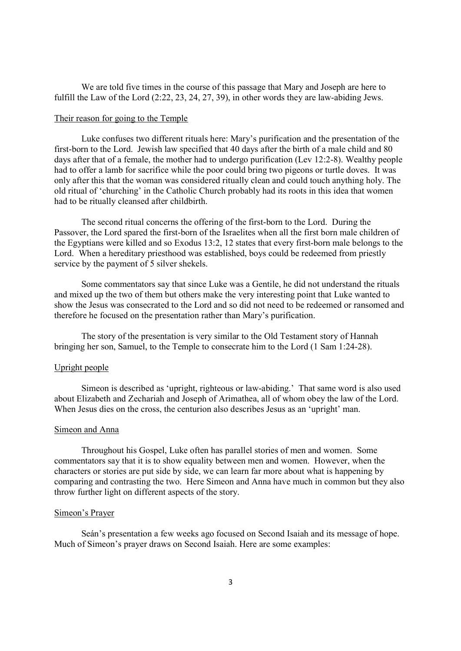We are told five times in the course of this passage that Mary and Joseph are here to fulfill the Law of the Lord (2:22, 23, 24, 27, 39), in other words they are law-abiding Jews.

## Their reason for going to the Temple

Luke confuses two different rituals here: Mary's purification and the presentation of the first-born to the Lord. Jewish law specified that 40 days after the birth of a male child and 80 days after that of a female, the mother had to undergo purification (Lev 12:2-8). Wealthy people had to offer a lamb for sacrifice while the poor could bring two pigeons or turtle doves. It was only after this that the woman was considered ritually clean and could touch anything holy. The old ritual of 'churching' in the Catholic Church probably had its roots in this idea that women had to be ritually cleansed after childbirth.

The second ritual concerns the offering of the first-born to the Lord. During the Passover, the Lord spared the first-born of the Israelites when all the first born male children of the Egyptians were killed and so Exodus 13:2, 12 states that every first-born male belongs to the Lord. When a hereditary priesthood was established, boys could be redeemed from priestly service by the payment of 5 silver shekels.

Some commentators say that since Luke was a Gentile, he did not understand the rituals and mixed up the two of them but others make the very interesting point that Luke wanted to show the Jesus was consecrated to the Lord and so did not need to be redeemed or ransomed and therefore he focused on the presentation rather than Mary's purification.

The story of the presentation is very similar to the Old Testament story of Hannah bringing her son, Samuel, to the Temple to consecrate him to the Lord (1 Sam 1:24-28).

# Upright people

Simeon is described as 'upright, righteous or law-abiding.' That same word is also used about Elizabeth and Zechariah and Joseph of Arimathea, all of whom obey the law of the Lord. When Jesus dies on the cross, the centurion also describes Jesus as an 'upright' man.

# Simeon and Anna

Throughout his Gospel, Luke often has parallel stories of men and women. Some commentators say that it is to show equality between men and women. However, when the characters or stories are put side by side, we can learn far more about what is happening by comparing and contrasting the two. Here Simeon and Anna have much in common but they also throw further light on different aspects of the story.

# Simeon's Prayer

Seán's presentation a few weeks ago focused on Second Isaiah and its message of hope. Much of Simeon's prayer draws on Second Isaiah. Here are some examples: